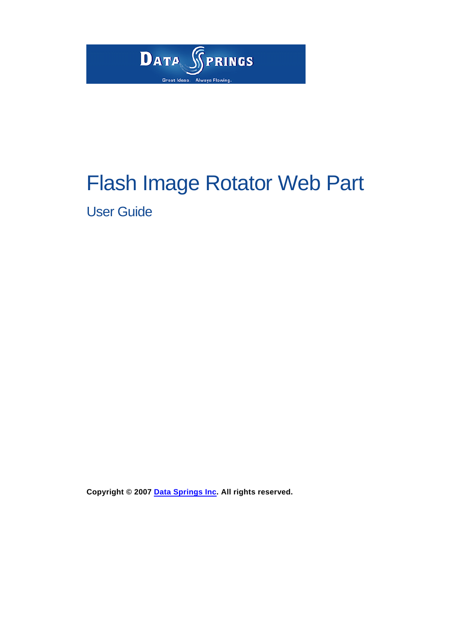

# Flash Image Rotator Web Part

User Guide

**Copyright © 2007 [Data Springs Inc.](http://www.datasprings.com/) All rights reserved.**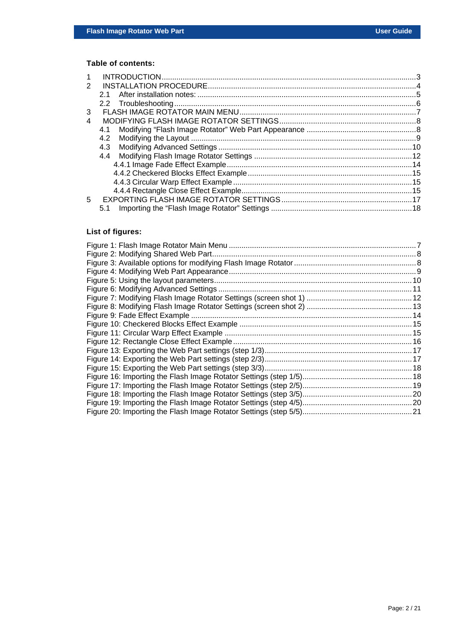#### **Table of contents:**

| 2 |     |  |
|---|-----|--|
|   | 21  |  |
|   |     |  |
| 3 |     |  |
| 4 |     |  |
|   | 4.1 |  |
|   | 4.2 |  |
|   | 4.3 |  |
|   |     |  |
|   |     |  |
|   |     |  |
|   |     |  |
|   |     |  |
| 5 |     |  |
|   | 5.1 |  |
|   |     |  |

## **List of figures:**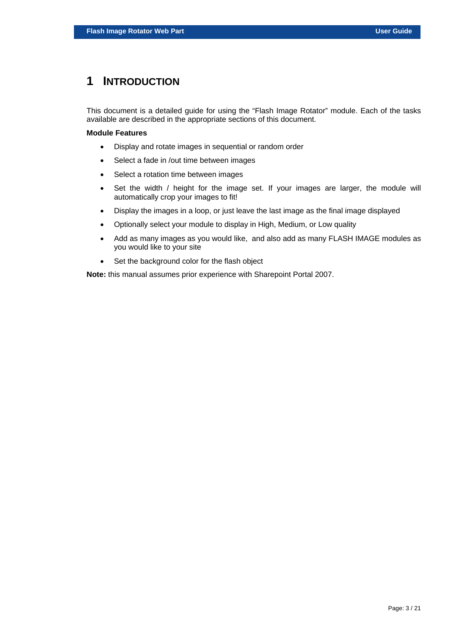## <span id="page-2-0"></span>**1 INTRODUCTION**

This document is a detailed guide for using the "Flash Image Rotator" module. Each of the tasks available are described in the appropriate sections of this document.

#### **Module Features**

- Display and rotate images in sequential or random order
- Select a fade in /out time between images
- Select a rotation time between images
- Set the width / height for the image set. If your images are larger, the module will automatically crop your images to fit!
- Display the images in a loop, or just leave the last image as the final image displayed
- Optionally select your module to display in High, Medium, or Low quality
- Add as many images as you would like, and also add as many FLASH IMAGE modules as you would like to your site
- Set the background color for the flash object

**Note:** this manual assumes prior experience with Sharepoint Portal 2007.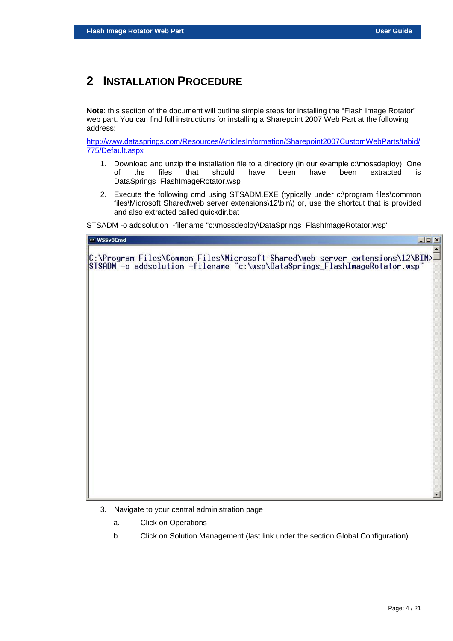## <span id="page-3-0"></span>**2 INSTALLATION PROCEDURE**

**Note**: this section of the document will outline simple steps for installing the "Flash Image Rotator" web part. You can find full instructions for installing a Sharepoint 2007 Web Part at the following address:

[http://www.datasprings.com/Resources/ArticlesInformation/Sharepoint2007CustomWebParts/tabid/](http://www.datasprings.com/Resources/ArticlesInformation/Sharepoint2007CustomWebParts/tabid/775/Default.aspx) [775/Default.aspx](http://www.datasprings.com/Resources/ArticlesInformation/Sharepoint2007CustomWebParts/tabid/775/Default.aspx)

- 1. Download and unzip the installation file to a directory (in our example c:\mossdeploy) One of the files that should have been have been extracted is DataSprings\_FlashImageRotator.wsp
- 2. Execute the following cmd using STSADM.EXE (typically under c:\program files\common files\Microsoft Shared\web server extensions\12\bin\) or, use the shortcut that is provided and also extracted called quickdir.bat

STSADM -o addsolution -filename "c:\mossdeploy\DataSprings\_FlashImageRotator.wsp"



- 3. Navigate to your central administration page
	- a. Click on Operations
	- b. Click on Solution Management (last link under the section Global Configuration)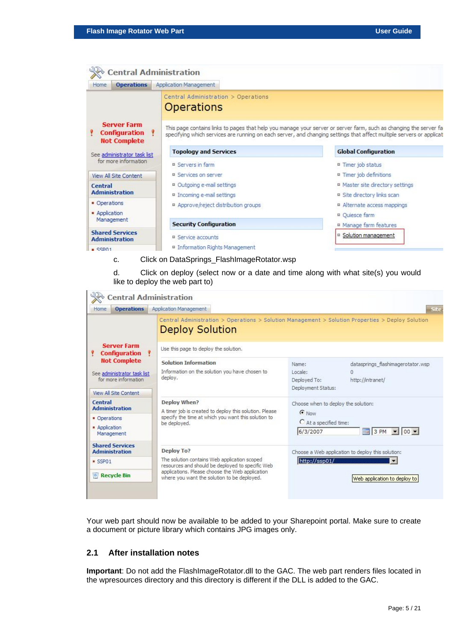| <b>Server Farm</b><br><b>Configuration</b><br><b>Not Complete</b><br>See administrator task list<br>for more information<br>View All Site Content | Central Administration > Operations<br><b>Operations</b><br><b>Topology and Services</b> | This page contains links to pages that help you manage your server or server farm, such as changing the server fa<br>specifying which services are running on each server, and changing settings that affect multiple servers or applicat<br><b>Global Configuration</b> |
|---------------------------------------------------------------------------------------------------------------------------------------------------|------------------------------------------------------------------------------------------|--------------------------------------------------------------------------------------------------------------------------------------------------------------------------------------------------------------------------------------------------------------------------|
|                                                                                                                                                   |                                                                                          |                                                                                                                                                                                                                                                                          |
|                                                                                                                                                   |                                                                                          |                                                                                                                                                                                                                                                                          |
|                                                                                                                                                   | <b>B</b> Servers in farm                                                                 | Timer job status                                                                                                                                                                                                                                                         |
|                                                                                                                                                   | ■ Services on server                                                                     | Timer job definitions                                                                                                                                                                                                                                                    |
| Central<br><b>Administration</b>                                                                                                                  | □ Outgoing e-mail settings<br>Incoming e-mail settings                                   | Master site directory settings<br>Site directory links scan                                                                                                                                                                                                              |
| • Operations<br>Application                                                                                                                       | Approve/reject distribution groups                                                       | Alternate access mappings<br>□ Quiesce farm                                                                                                                                                                                                                              |
| Management                                                                                                                                        | <b>Security Configuration</b>                                                            | <sup>II</sup> Manage farm features                                                                                                                                                                                                                                       |
| <b>Shared Services</b><br><b>Administration</b><br>SSD01                                                                                          | Service accounts<br>■ Information Rights Management                                      | □ Solution management                                                                                                                                                                                                                                                    |

#### c. Click on DataSprings\_FlashImageRotator.wsp

d. Click on deploy (select now or a date and time along with what site(s) you would like to deploy the web part to)

| <b>Central Administration</b>                                                                              |                                                                                                                                                                                                                  |                                                                                                                    |
|------------------------------------------------------------------------------------------------------------|------------------------------------------------------------------------------------------------------------------------------------------------------------------------------------------------------------------|--------------------------------------------------------------------------------------------------------------------|
| <b>Operations</b><br>Home                                                                                  | Application Management                                                                                                                                                                                           | Site                                                                                                               |
| <b>Server Farm</b><br><b>Configuration</b>                                                                 | <b>Deploy Solution</b><br>Use this page to deploy the solution.                                                                                                                                                  | Central Administration > Operations > Solution Management > Solution Properties > Deploy Solution                  |
| <b>Not Complete</b><br>See administrator task list<br>for more information<br><b>View All Site Content</b> | Solution Information<br>Information on the solution you have chosen to<br>deploy.                                                                                                                                | datasprings flashimagerotator.wsp<br>Name:<br>Locale:<br>Deployed To:<br>http://intranet/<br>Deployment Status:    |
| Central<br><b>Administration</b><br>• Operations<br>Application<br>Management                              | Deploy When?<br>A timer job is created to deploy this solution. Please<br>specify the time at which you want this solution to<br>be deployed.                                                                    | Choose when to deploy the solution:<br><b>C</b> Now<br>C At a specified time:<br>$ 00 \rangle$<br>6/3/2007<br>3 PM |
| <b>Shared Services</b><br><b>Administration</b><br>SSP01<br><sup>o</sup> Recycle Bin                       | Deploy To?<br>The solution contains Web application scoped<br>resources and should be deployed to specific Web<br>applications. Please choose the Web application<br>where you want the solution to be deployed. | Choose a Web application to deploy this solution:<br>http://ssp01/<br>Web application to deploy to                 |

Your web part should now be available to be added to your Sharepoint portal. Make sure to create a document or picture library which contains JPG images only.

#### <span id="page-4-0"></span>**2.1 After installation notes**

**Important**: Do not add the FlashImageRotator.dll to the GAC. The web part renders files located in the wpresources directory and this directory is different if the DLL is added to the GAC.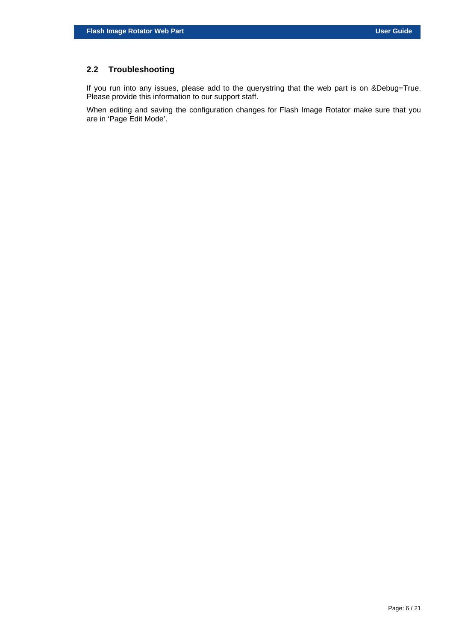## <span id="page-5-0"></span>**2.2 Troubleshooting**

If you run into any issues, please add to the querystring that the web part is on &Debug=True. Please provide this information to our support staff.

When editing and saving the configuration changes for Flash Image Rotator make sure that you are in 'Page Edit Mode'.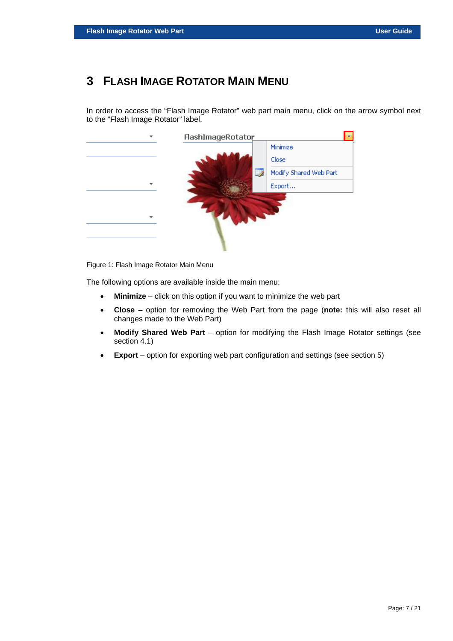## <span id="page-6-0"></span>**3 FLASH IMAGE ROTATOR MAIN MENU**

In order to access the "Flash Image Rotator" web part main menu, click on the arrow symbol next to the "Flash Image Rotator" label.



<span id="page-6-1"></span>Figure 1: Flash Image Rotator Main Menu

The following options are available inside the main menu:

- **Minimize** click on this option if you want to minimize the web part
- **Close** option for removing the Web Part from the page (**note:** this will also reset all changes made to the Web Part)
- **Modify Shared Web Part** option for modifying the Flash Image Rotator settings (see section [4.1\)](#page-7-1)
- **Export** option for exporting web part configuration and settings (see section [5\)](#page-16-0)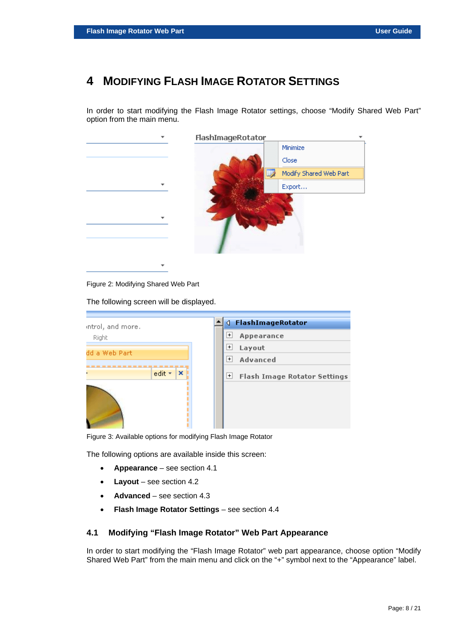## <span id="page-7-0"></span>**4 MODIFYING FLASH IMAGE ROTATOR SETTINGS**

In order to start modifying the Flash Image Rotator settings, choose "Modify Shared Web Part" option from the main menu.

<span id="page-7-2"></span>

Figure 2: Modifying Shared Web Part

The following screen will be displayed.

<span id="page-7-3"></span>

| introl, and more.          | FlashImageRotator<br>◁                       |
|----------------------------|----------------------------------------------|
| Right                      | $\pm$<br>Appearance                          |
| dd a Web Part              | $\pm$<br>Layout                              |
|                            | $\left  + \right $<br>Advanced               |
| $\mathbf x$<br>edit *<br>٠ | $\pm$<br><b>Flash Image Rotator Settings</b> |
|                            |                                              |

Figure 3: Available options for modifying Flash Image Rotator

The following options are available inside this screen:

- **Appearance** see section [4.1](#page-7-1)
- **Layout** see section [4.2](#page-8-0)
- **Advanced** see section [4.3](#page-9-0)
- **Flash Image Rotator Settings** see section [4.4](#page-11-0)

#### <span id="page-7-1"></span>**4.1 Modifying "Flash Image Rotator" Web Part Appearance**

In order to start modifying the "Flash Image Rotator" web part appearance, choose option "Modify Shared Web Part" from the main menu and click on the "+" symbol next to the "Appearance" label.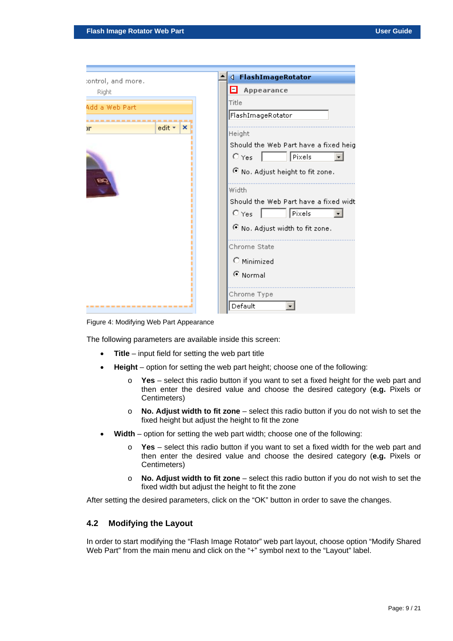| control, and more.           | FlashImageRotator<br>∢                |
|------------------------------|---------------------------------------|
| Right                        | Ξ<br>Appearance                       |
| Add a Web Part               | Title                                 |
|                              | FlashImageRotator                     |
| edit *<br>$\mathbf{X}$<br>١r | Height                                |
|                              | Should the Web Part have a fixed heig |
|                              | Pixels<br>$\bigcirc$ Yes              |
|                              | O No. Adjust height to fit zone.      |
|                              | Width                                 |
|                              | Should the Web Part have a fixed widt |
|                              | $\bigcirc$ Yes<br>Pixels              |
|                              |                                       |
|                              | O No. Adjust width to fit zone.       |
|                              | Chrome State                          |
|                              | C Minimized                           |
|                              | ⊙ Normal                              |
|                              |                                       |
|                              | Chrome Type                           |
| ----------------             | Default                               |

<span id="page-8-1"></span>Figure 4: Modifying Web Part Appearance

The following parameters are available inside this screen:

- **Title** input field for setting the web part title
- **Height** option for setting the web part height; choose one of the following:
	- o **Yes** select this radio button if you want to set a fixed height for the web part and then enter the desired value and choose the desired category (**e.g.** Pixels or Centimeters)
	- o **No. Adjust width to fit zone** select this radio button if you do not wish to set the fixed height but adjust the height to fit the zone
- **Width** option for setting the web part width; choose one of the following:
	- o **Yes** select this radio button if you want to set a fixed width for the web part and then enter the desired value and choose the desired category (**e.g.** Pixels or Centimeters)
	- o **No. Adjust width to fit zone** select this radio button if you do not wish to set the fixed width but adjust the height to fit the zone

After setting the desired parameters, click on the "OK" button in order to save the changes.

#### <span id="page-8-0"></span>**4.2 Modifying the Layout**

In order to start modifying the "Flash Image Rotator" web part layout, choose option "Modify Shared Web Part" from the main menu and click on the "+" symbol next to the "Layout" label.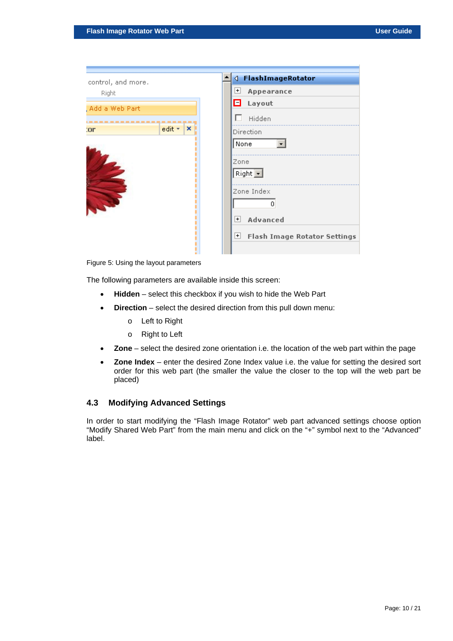| control, and more. |             | <b>√ FlashImageRotator</b>                 |
|--------------------|-------------|--------------------------------------------|
| Right              |             | $+$<br>Appearance                          |
|                    |             | Θ<br>Layout                                |
| Add a Web Part     |             |                                            |
|                    |             | Hidden                                     |
| :or                | edit *<br>× | Direction                                  |
|                    |             | None                                       |
|                    |             |                                            |
|                    |             | Zone                                       |
|                    |             | Right $\Box$                               |
|                    |             |                                            |
|                    |             | Zone Index                                 |
|                    |             |                                            |
|                    |             | 0                                          |
|                    |             | Advanced<br>$+$                            |
|                    |             |                                            |
|                    |             | $+$<br><b>Flash Image Rotator Settings</b> |
|                    |             |                                            |
|                    |             |                                            |

<span id="page-9-1"></span>Figure 5: Using the layout parameters

The following parameters are available inside this screen:

- **Hidden** select this checkbox if you wish to hide the Web Part
- **Direction** select the desired direction from this pull down menu:
	- o Left to Right
	- o Right to Left
- **Zone** select the desired zone orientation i.e. the location of the web part within the page
- **Zone Index** enter the desired Zone Index value i.e. the value for setting the desired sort order for this web part (the smaller the value the closer to the top will the web part be placed)

#### <span id="page-9-0"></span>**4.3 Modifying Advanced Settings**

In order to start modifying the "Flash Image Rotator" web part advanced settings choose option "Modify Shared Web Part" from the main menu and click on the "+" symbol next to the "Advanced" label.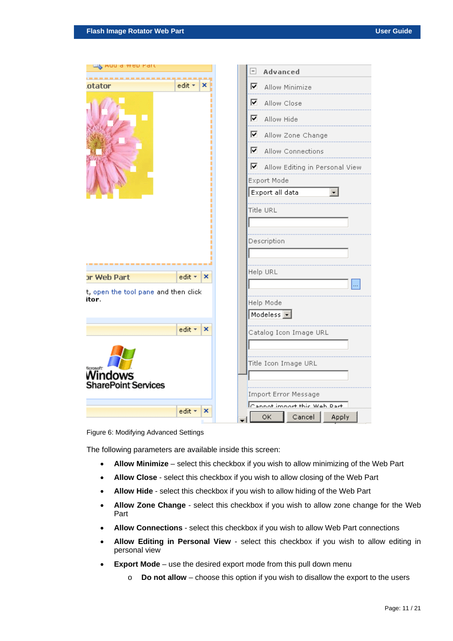<span id="page-10-0"></span>

| <u>ապ,</u> Auu d web Part                     | Advanced<br>Ξ                        |
|-----------------------------------------------|--------------------------------------|
| edit +<br>otator<br>x                         | ⊽<br>Allow Minimize                  |
|                                               | .                                    |
|                                               | 罓<br>Allow Close                     |
|                                               | ⊽<br>Allow Hide<br>.                 |
|                                               | ■ Allow Zone Change                  |
|                                               | $\blacksquare$ Allow Connections     |
|                                               | ■ Allow Editing in Personal View     |
|                                               | Export Mode                          |
|                                               | Export all data                      |
|                                               | <b>Title URL</b>                     |
|                                               |                                      |
|                                               |                                      |
|                                               | Description                          |
|                                               |                                      |
| or Web Part<br>edit *<br>$\mathbf{x}$         | Help URL                             |
|                                               | $\cdots$                             |
| t, open the tool pane and then click<br>itor. |                                      |
|                                               | Help Mode                            |
|                                               | Modeless $\boxed{\bullet}$           |
| edit *<br>×                                   | Catalog Icon Image URL               |
|                                               |                                      |
|                                               | Title Icon Image URL                 |
| <b>ficrosoft</b><br>Windows                   |                                      |
| <b>SharePoint Services</b>                    |                                      |
|                                               | Import Error Message                 |
| edit +<br>×                                   | $\Gamma$ annot import this Web Part. |
|                                               | OK.<br>Cancel<br>Apply               |

Figure 6: Modifying Advanced Settings

The following parameters are available inside this screen:

- **Allow Minimize** select this checkbox if you wish to allow minimizing of the Web Part
- **Allow Close** select this checkbox if you wish to allow closing of the Web Part
- **Allow Hide** select this checkbox if you wish to allow hiding of the Web Part
- **Allow Zone Change** select this checkbox if you wish to allow zone change for the Web Part
- **Allow Connections** select this checkbox if you wish to allow Web Part connections
- **Allow Editing in Personal View** select this checkbox if you wish to allow editing in personal view
- **Export Mode** use the desired export mode from this pull down menu
	- o **Do not allow** choose this option if you wish to disallow the export to the users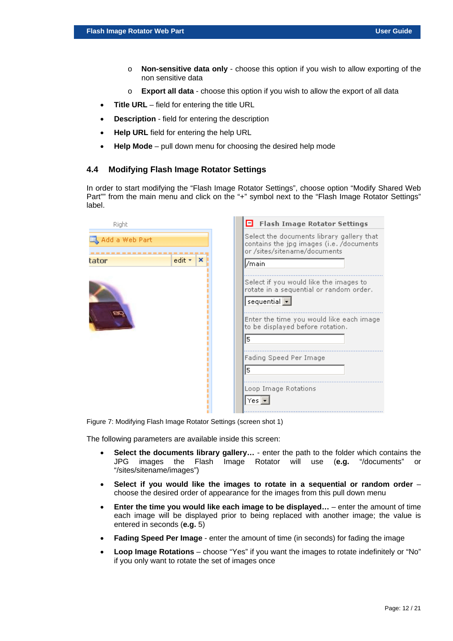- o **Non-sensitive data only** choose this option if you wish to allow exporting of the non sensitive data
- o **Export all data** choose this option if you wish to allow the export of all data
- **Title URL** field for entering the title URL
- **Description** field for entering the description
- **Help URL** field for entering the help URL
- **Help Mode** pull down menu for choosing the desired help mode

#### <span id="page-11-0"></span>**4.4 Modifying Flash Image Rotator Settings**

In order to start modifying the "Flash Image Rotator Settings", choose option "Modify Shared Web Part"" from the main menu and click on the "+" symbol next to the "Flash Image Rotator Settings" label.

 $\sim$ 

<span id="page-11-1"></span>

| Right          |             | 8<br><b>Flash Image Rotator Settings</b>                                                                                                                                                                                                                                 |
|----------------|-------------|--------------------------------------------------------------------------------------------------------------------------------------------------------------------------------------------------------------------------------------------------------------------------|
| Add a Web Part |             | Select the documents library gallery that<br>contains the jpg images (i.e. /documents<br>or /sites/sitename/documents                                                                                                                                                    |
| tator          | edit +<br>× | /main                                                                                                                                                                                                                                                                    |
|                |             | Select if you would like the images to<br>rotate in a sequential or random order.<br>sequential $\Box$<br>Enter the time you would like each image.<br>to be displayed before rotation.<br>5<br>Fading Speed Per Image<br>5<br>Loop Image Rotations<br>$Yes \rightarrow$ |

Figure 7: Modifying Flash Image Rotator Settings (screen shot 1)

The following parameters are available inside this screen:

- **Select the documents library gallery…** enter the path to the folder which contains the JPG images the Flash Image Rotator will use (**e.g.** "/documents" or "/sites/sitename/images")
- **Select if you would like the images to rotate in a sequential or random order** choose the desired order of appearance for the images from this pull down menu
- **Enter the time you would like each image to be displayed…** enter the amount of time each image will be displayed prior to being replaced with another image; the value is entered in seconds (**e.g.** 5)
- **Fading Speed Per Image**  enter the amount of time (in seconds) for fading the image
- **Loop Image Rotations**  choose "Yes" if you want the images to rotate indefinitely or "No" if you only want to rotate the set of images once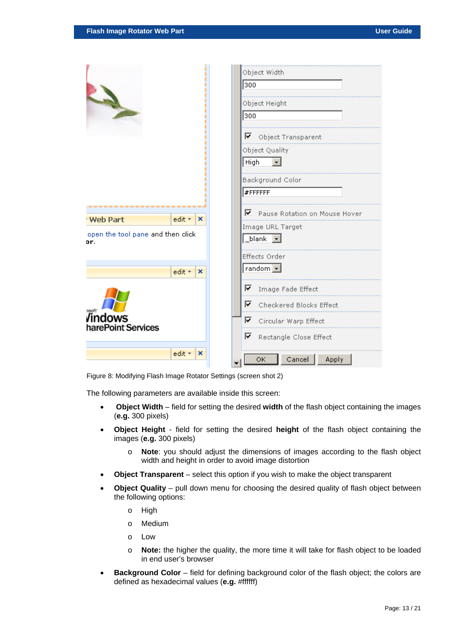<span id="page-12-0"></span>

|                                          |                                  | Object Width<br>300<br>Object Height<br>300<br>$\blacksquare$ Object Transparent<br>Object Quality<br>High<br>Background Color<br>#FFFFFFF |
|------------------------------------------|----------------------------------|--------------------------------------------------------------------------------------------------------------------------------------------|
| <b>Web Part</b>                          | edit $\mathbf{v}$   $\mathbf{x}$ | $\blacksquare$ Pause Rotation on Mouse Hover                                                                                               |
| open the tool pane and then click<br>Dľ. |                                  | Image URL Target<br>$\_blank$ $\boxed{\blacksquare}$<br><b>Effects Order</b>                                                               |
|                                          | edit *<br>$\mathbf x$            | random $\boxed{\bullet}$                                                                                                                   |
| <b>Tindows</b><br>harePoint Services     |                                  | ■ Image Fade Effect<br>Checkered Blocks Effect<br>罓<br>⊽<br>Circular Warp Effect<br>⊽<br>Rectangle Close Effect                            |
|                                          | edit +<br>×                      | Cancel<br>ОK<br>Apply                                                                                                                      |

Figure 8: Modifying Flash Image Rotator Settings (screen shot 2)

The following parameters are available inside this screen:

- **Object Width** field for setting the desired **width** of the flash object containing the images (**e.g.** 300 pixels)
- **Object Height** field for setting the desired **height** of the flash object containing the images (**e.g.** 300 pixels)
	- o **Note**: you should adjust the dimensions of images according to the flash object width and height in order to avoid image distortion
- **Object Transparent** select this option if you wish to make the object transparent
- **Object Quality** pull down menu for choosing the desired quality of flash object between the following options:
	- o High
	- o Medium
	- o Low
	- o **Note:** the higher the quality, the more time it will take for flash object to be loaded in end user's browser
- **Background Color** field for defining background color of the flash object; the colors are defined as hexadecimal values (**e.g.** #ffffff)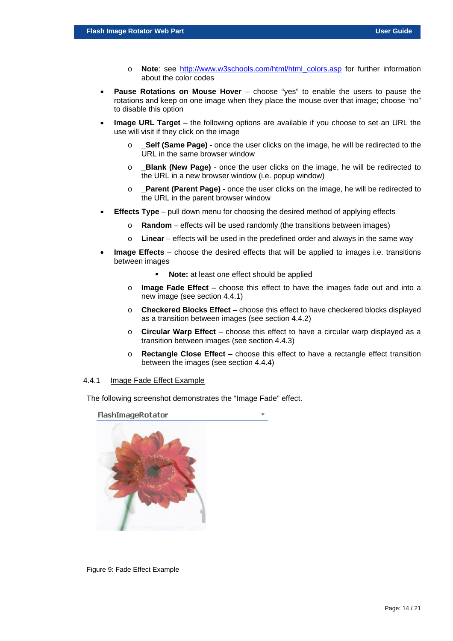- o **Note**: see [http://www.w3schools.com/html/html\\_colors.asp](http://www.w3schools.com/html/html_colors.asp) for further information about the color codes
- **Pause Rotations on Mouse Hover** choose "yes" to enable the users to pause the rotations and keep on one image when they place the mouse over that image; choose "no" to disable this option
- **Image URL Target** the following options are available if you choose to set an URL the use will visit if they click on the image
	- o **\_Self (Same Page)** once the user clicks on the image, he will be redirected to the URL in the same browser window
	- o **\_Blank (New Page)** once the user clicks on the image, he will be redirected to the URL in a new browser window (i.e. popup window)
	- o **\_Parent (Parent Page)** once the user clicks on the image, he will be redirected to the URL in the parent browser window
- **Effects Type** pull down menu for choosing the desired method of applying effects
	- o **Random** effects will be used randomly (the transitions between images)
	- **Linear** effects will be used in the predefined order and always in the same way
- **Image Effects** choose the desired effects that will be applied to images i.e. transitions between images
	- **Note:** at least one effect should be applied
	- o **Image Fade Effect** choose this effect to have the images fade out and into a new image (see section [4.4.1\)](#page-13-0)
	- o **Checkered Blocks Effect** choose this effect to have checkered blocks displayed as a transition between images (see section [4.4.2\)](#page-14-0)
	- o **Circular Warp Effect** choose this effect to have a circular warp displayed as a transition between images (see section [4.4.3\)](#page-14-1)
	- o **Rectangle Close Effect** choose this effect to have a rectangle effect transition between the images (see section [4.4.4\)](#page-14-2)

#### <span id="page-13-0"></span>4.4.1 Image Fade Effect Example

The following screenshot demonstrates the "Image Fade" effect.

<span id="page-13-1"></span>FlashImageRotator



Figure 9: Fade Effect Example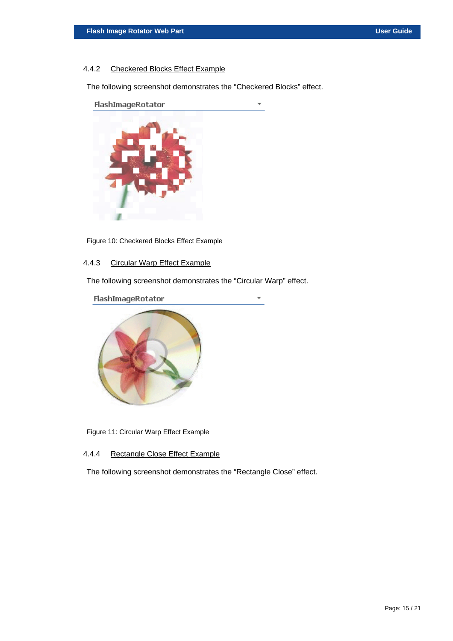#### <span id="page-14-0"></span>4.4.2 Checkered Blocks Effect Example

The following screenshot demonstrates the "Checkered Blocks" effect.

÷

<span id="page-14-3"></span>

Figure 10: Checkered Blocks Effect Example

#### <span id="page-14-1"></span>4.4.3 Circular Warp Effect Example

The following screenshot demonstrates the "Circular Warp" effect.

<span id="page-14-4"></span>

Figure 11: Circular Warp Effect Example

#### <span id="page-14-2"></span>4.4.4 Rectangle Close Effect Example

The following screenshot demonstrates the "Rectangle Close" effect.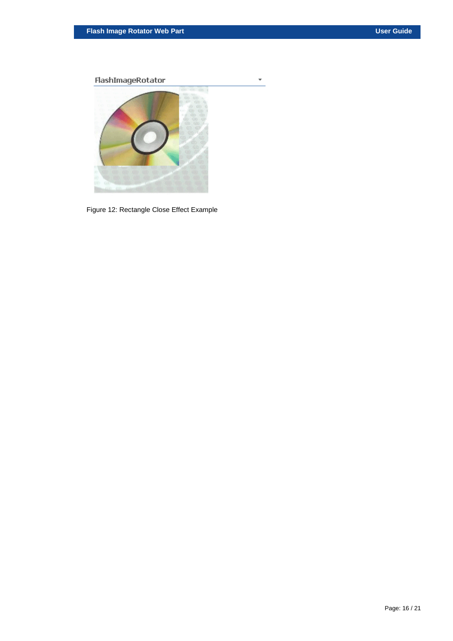<span id="page-15-0"></span>FlashImageRotator



 $\overline{\phantom{a}}$ 

Figure 12: Rectangle Close Effect Example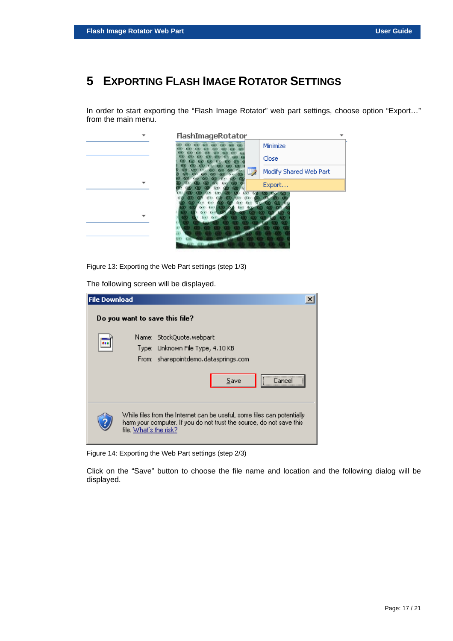# <span id="page-16-0"></span>**5 EXPORTING FLASH IMAGE ROTATOR SETTINGS**

In order to start exporting the "Flash Image Rotator" web part settings, choose option "Export…" from the main menu.

<span id="page-16-1"></span>

Figure 13: Exporting the Web Part settings (step 1/3)

The following screen will be displayed.

| <b>File Download</b> |                                                                                                                                                                           |
|----------------------|---------------------------------------------------------------------------------------------------------------------------------------------------------------------------|
|                      | Do you want to save this file?                                                                                                                                            |
|                      | Name: StockQuote.webpart                                                                                                                                                  |
| 234                  | Type: Unknown File Type, 4.10 KB                                                                                                                                          |
|                      | From: sharepointdemo.datasprings.com                                                                                                                                      |
|                      | Save<br>∃ance                                                                                                                                                             |
|                      | While files from the Internet can be useful, some files can potentially<br>harm your computer. If you do not trust the source, do not save this<br>file. What's the risk? |

<span id="page-16-2"></span>Figure 14: Exporting the Web Part settings (step 2/3)

Click on the "Save" button to choose the file name and location and the following dialog will be displayed.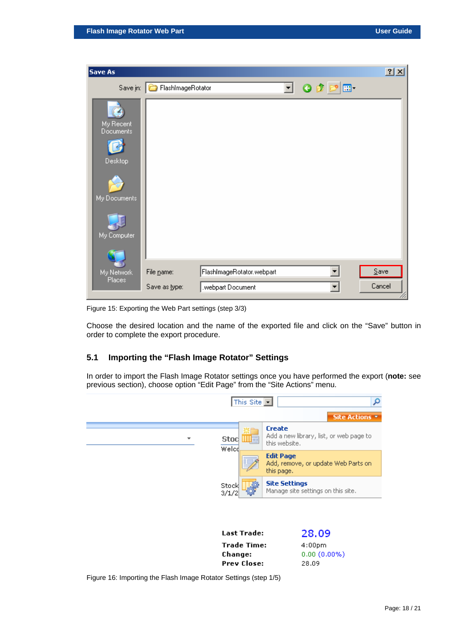| Save As                 |                            |                           |    |                 | 2x      |
|-------------------------|----------------------------|---------------------------|----|-----------------|---------|
|                         | Save in: FlashImageRotator |                           | ▾╎ | $O$ $D$ $D$ $E$ |         |
| My Recent<br>Documents  |                            |                           |    |                 |         |
| Desktop<br>My Documents |                            |                           |    |                 |         |
| My Computer             |                            |                           |    |                 |         |
| My Network              | File name:                 | FlashImageRotator.webpart |    |                 | $S$ ave |
| Places                  | Save as type:              | .webpart Document         |    |                 | Cancel  |

<span id="page-17-1"></span>Figure 15: Exporting the Web Part settings (step 3/3)

Choose the desired location and the name of the exported file and click on the "Save" button in order to complete the export procedure.

#### <span id="page-17-0"></span>**5.1 Importing the "Flash Image Rotator" Settings**

In order to import the Flash Image Rotator settings once you have performed the export (**note:** see previous section), choose option "Edit Page" from the "Site Actions" menu.

<span id="page-17-2"></span>

Change:

**Prev Close:** 

 $0.00(0.00\%)$ 28.09

Figure 16: Importing the Flash Image Rotator Settings (step 1/5)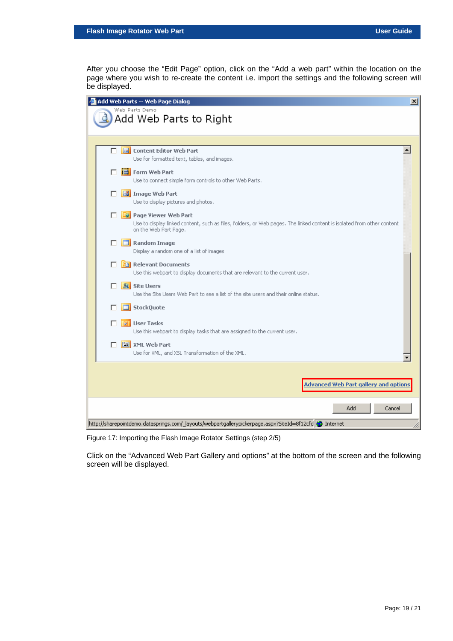After you choose the "Edit Page" option, click on the "Add a web part" within the location on the page where you wish to re-create the content i.e. import the settings and the following screen will be displayed.

|                | Add Web Parts -- Web Page Dialog                                                                                                                                                  | $\vert x \vert$ |
|----------------|-----------------------------------------------------------------------------------------------------------------------------------------------------------------------------------|-----------------|
| Web Parts Demo | Add Web Parts to Right                                                                                                                                                            |                 |
|                |                                                                                                                                                                                   |                 |
| п              | <b>E</b> Content Editor Web Part<br>Use for formatted text, tables, and images.                                                                                                   |                 |
|                | <b>B</b> Form Web Part<br>Use to connect simple form controls to other Web Parts.                                                                                                 |                 |
|                | Image Web Part<br>Use to display pictures and photos.                                                                                                                             |                 |
|                | <b>De</b> Page Viewer Web Part<br>Use to display linked content, such as files, folders, or Web pages. The linked content is isolated from other content<br>on the Web Part Page. |                 |
|                | $\Box$ Random Image<br>Display a random one of a list of images                                                                                                                   |                 |
| п              | <b>Ball Relevant Documents</b><br>Use this webpart to display documents that are relevant to the current user.                                                                    |                 |
|                | <b>&amp;</b> Site Users<br>Use the Site Users Web Part to see a list of the site users and their online status.                                                                   |                 |
|                | StockQuote                                                                                                                                                                        |                 |
|                | <b>M</b> User Tasks<br>Use this webpart to display tasks that are assigned to the current user.                                                                                   |                 |
| п              | 图 XML Web Part<br>Use for XML, and XSL Transformation of the XML.                                                                                                                 |                 |
|                |                                                                                                                                                                                   |                 |
|                | <b>Advanced Web Part gallery and options</b>                                                                                                                                      |                 |
|                | Cancel<br>Add                                                                                                                                                                     |                 |
|                | http://sharepointdemo.datasprings.com/_layouts/webpartgallerypickerpage.aspx?SiteId=8f12cfd @ Internet                                                                            |                 |

<span id="page-18-0"></span>Figure 17: Importing the Flash Image Rotator Settings (step 2/5)

Click on the "Advanced Web Part Gallery and options" at the bottom of the screen and the following screen will be displayed.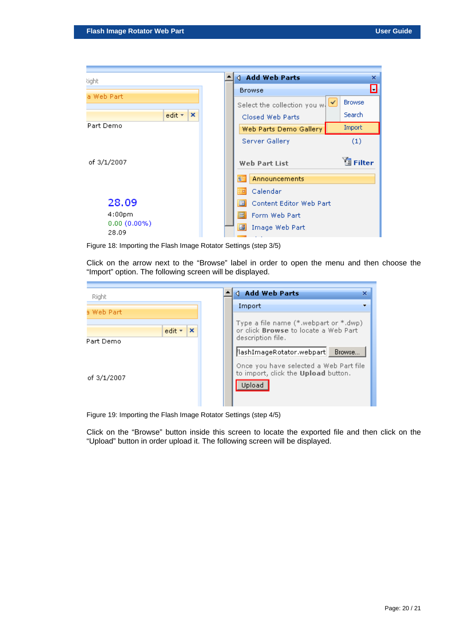| light                   |                                  |  | <b>4</b> Add Web Parts                          | $\mathbf x$     |
|-------------------------|----------------------------------|--|-------------------------------------------------|-----------------|
|                         |                                  |  | <b>Browse</b>                                   | $\blacksquare$  |
| a Web Part              |                                  |  | Select the collection you w.                    | <b>Browse</b>   |
|                         | edit $\mathbf{v}$   $\mathbf{x}$ |  | Closed Web Parts                                | <b>Search</b>   |
| Part Demo               |                                  |  | Web Parts Demo Gallery                          | Import          |
|                         |                                  |  | Server Gallery                                  | (1)             |
| of 3/1/2007             |                                  |  | Web Part List                                   | <b>E</b> Filter |
|                         |                                  |  | Announcements<br>Еś                             |                 |
|                         |                                  |  | Calendar<br><b>HET</b>                          |                 |
| 28.09                   |                                  |  | Content Editor Web Part<br>国                    |                 |
| 4:00 <sub>pm</sub>      |                                  |  | EI<br>Form Web Part                             |                 |
| $0.00(0.00\%)$<br>28.09 |                                  |  | 國<br>Image Web Part<br><b>Contract Contract</b> |                 |

<span id="page-19-0"></span>Figure 18: Importing the Flash Image Rotator Settings (step 3/5)

Click on the arrow next to the "Browse" label in order to open the menu and then choose the "Import" option. The following screen will be displayed.

<span id="page-19-1"></span>

Figure 19: Importing the Flash Image Rotator Settings (step 4/5)

Click on the "Browse" button inside this screen to locate the exported file and then click on the "Upload" button in order upload it. The following screen will be displayed.